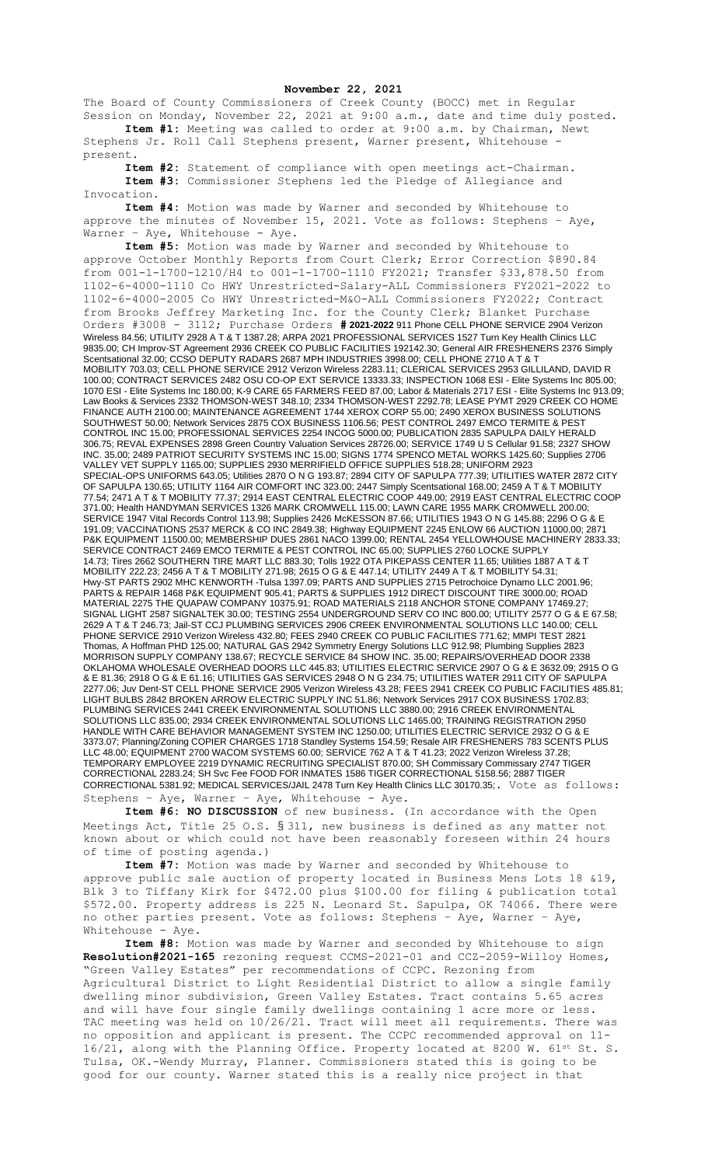## **November 22, 2021**

The Board of County Commissioners of Creek County (BOCC) met in Regular Session on Monday, November 22, 2021 at 9:00 a.m., date and time duly posted. **Item #1:** Meeting was called to order at 9:00 a.m. by Chairman, Newt

Stephens Jr. Roll Call Stephens present, Warner present, Whitehouse present.

**Item #2:** Statement of compliance with open meetings act-Chairman. **Item #3:** Commissioner Stephens led the Pledge of Allegiance and Invocation.

**Item #4:** Motion was made by Warner and seconded by Whitehouse to approve the minutes of November 15, 2021. Vote as follows: Stephens – Aye, Warner - Aye, Whitehouse - Aye.

**Item #5:** Motion was made by Warner and seconded by Whitehouse to approve October Monthly Reports from Court Clerk; Error Correction \$890.84 from 001-1-1700-1210/H4 to 001-1-1700-1110 FY2021; Transfer \$33,878.50 from 1102-6-4000-1110 Co HWY Unrestricted-Salary-ALL Commissioners FY2021-2022 to 1102-6-4000-2005 Co HWY Unrestricted-M&O-ALL Commissioners FY2022; Contract from Brooks Jeffrey Marketing Inc. for the County Clerk; Blanket Purchase Orders #3008 - 3112; Purchase Orders **# 2021-2022** 911 Phone CELL PHONE SERVICE 2904 Verizon Wireless 84.56; UTILITY 2928 A T & T 1387.28; ARPA 2021 PROFESSIONAL SERVICES 1527 Turn Key Health Clinics LLC 9835.00; CH Improv-ST Agreement 2936 CREEK CO PUBLIC FACILITIES 192142.30; General AIR FRESHENERS 2376 Simply Scentsational 32.00; CCSO DEPUTY RADARS 2687 MPH INDUSTRIES 3998.00; CELL PHONE 2710 A T & T MOBILITY 703.03; CELL PHONE SERVICE 2912 Verizon Wireless 2283.11; CLERICAL SERVICES 2953 GILLILAND, DAVID R 100.00; CONTRACT SERVICES 2482 OSU CO-OP EXT SERVICE 13333.33; INSPECTION 1068 ESI - Elite Systems Inc 805.00; 1070 ESI - Elite Systems Inc 180.00; K-9 CARE 65 FARMERS FEED 87.00; Labor & Materials 2717 ESI - Elite Systems Inc 913.09; Law Books & Services 2332 THOMSON-WEST 348.10; 2334 THOMSON-WEST 2292.78; LEASE PYMT 2929 CREEK CO HOME FINANCE AUTH 2100.00; MAINTENANCE AGREEMENT 1744 XEROX CORP 55.00; 2490 XEROX BUSINESS SOLUTIONS SOUTHWEST 50.00; Network Services 2875 COX BUSINESS 1106.56; PEST CONTROL 2497 EMCO TERMITE & PEST CONTROL INC 15.00; PROFESSIONAL SERVICES 2254 INCOG 5000.00; PUBLICATION 2835 SAPULPA DAILY HERALD 306.75; REVAL EXPENSES 2898 Green Country Valuation Services 28726.00; SERVICE 1749 U S Cellular 91.58; 2327 SHOW INC. 35.00; 2489 PATRIOT SECURITY SYSTEMS INC 15.00; SIGNS 1774 SPENCO METAL WORKS 1425.60; Supplies 2706 VALLEY VET SUPPLY 1165.00; SUPPLIES 2930 MERRIFIELD OFFICE SUPPLIES 518.28; UNIFORM 2923 SPECIAL-OPS UNIFORMS 643.05; Utilities 2870 O N G 193.87; 2894 CITY OF SAPULPA 777.39; UTILITIES WATER 2872 CITY OF SAPULPA 130.65; UTILITY 1164 AIR COMFORT INC 323.00; 2447 Simply Scentsational 168.00; 2459 A T & T MOBILITY 77.54; 2471 A T & T MOBILITY 77.37; 2914 EAST CENTRAL ELECTRIC COOP 449.00; 2919 EAST CENTRAL ELECTRIC COOP 371.00; Health HANDYMAN SERVICES 1326 MARK CROMWELL 115.00; LAWN CARE 1955 MARK CROMWELL 200.00; SERVICE 1947 Vital Records Control 113.98; Supplies 2426 McKESSON 87.66; UTILITIES 1943 O N G 145.88; 2296 O G & E 191.09; VACCINATIONS 2537 MERCK & CO INC 2849.38; Highway EQUIPMENT 2245 ENLOW 66 AUCTION 11000.00; 2871 P&K EQUIPMENT 11500.00; MEMBERSHIP DUES 2861 NACO 1399.00; RENTAL 2454 YELLOWHOUSE MACHINERY 2833.33; SERVICE CONTRACT 2469 EMCO TERMITE & PEST CONTROL INC 65.00; SUPPLIES 2760 LOCKE SUPPLY 14.73; Tires 2662 SOUTHERN TIRE MART LLC 883.30; Tolls 1922 OTA PIKEPASS CENTER 11.65; Utilities 1887 A T & T MOBILITY 222.23; 2456 A T & T MOBILITY 271.98; 2615 O G & E 447.14; UTILITY 2449 A T & T MOBILITY 54.31; Hwy-ST PARTS 2902 MHC KENWORTH -Tulsa 1397.09; PARTS AND SUPPLIES 2715 Petrochoice Dynamo LLC 2001.96; PARTS & REPAIR 1468 P&K EQUIPMENT 905.41; PARTS & SUPPLIES 1912 DIRECT DISCOUNT TIRE 3000.00; ROAD MATERIAL 2275 THE QUAPAW COMPANY 10375.91; ROAD MATERIALS 2118 ANCHOR STONE COMPANY 17469.27; SIGNAL LIGHT 2587 SIGNALTEK 30.00; TESTING 2554 UNDERGROUND SERV CO INC 800.00; UTILITY 2577 O G & E 67.58; 2629 A T & T 246.73; Jail-ST CCJ PLUMBING SERVICES 2906 CREEK ENVIRONMENTAL SOLUTIONS LLC 140.00; CELL PHONE SERVICE 2910 Verizon Wireless 432.80; FEES 2940 CREEK CO PUBLIC FACILITIES 771.62; MMPI TEST 2821 Thomas, A Hoffman PHD 125.00; NATURAL GAS 2942 Symmetry Energy Solutions LLC 912.98; Plumbing Supplies 2823 MORRISON SUPPLY COMPANY 138.67; RECYCLE SERVICE 84 SHOW INC. 35.00; REPAIRS/OVERHEAD DOOR 2338 OKLAHOMA WHOLESALE OVERHEAD DOORS LLC 445.83; UTILITIES ELECTRIC SERVICE 2907 O G & E 3632.09; 2915 O G & E 81.36; 2918 O G & E 61.16; UTILITIES GAS SERVICES 2948 O N G 234.75; UTILITIES WATER 2911 CITY OF SAPULPA 2277.06; Juv Dent-ST CELL PHONE SERVICE 2905 Verizon Wireless 43.28; FEES 2941 CREEK CO PUBLIC FACILITIES 485.81; LIGHT BULBS 2842 BROKEN ARROW ELECTRIC SUPPLY INC 51.86; Network Services 2917 COX BUSINESS 1702.83; PLUMBING SERVICES 2441 CREEK ENVIRONMENTAL SOLUTIONS LLC 3880.00; 2916 CREEK ENVIRONMENTAL SOLUTIONS LLC 835.00; 2934 CREEK ENVIRONMENTAL SOLUTIONS LLC 1465.00; TRAINING REGISTRATION 2950 HANDLE WITH CARE BEHAVIOR MANAGEMENT SYSTEM INC 1250.00; UTILITIES ELECTRIC SERVICE 2932 O G & E 3373.07; Planning/Zoning COPIER CHARGES 1718 Standley Systems 154.59; Resale AIR FRESHENERS 783 SCENTS PLUS LLC 48.00; EQUIPMENT 2700 WACOM SYSTEMS 60.00; SERVICE 762 A T & T 41.23; 2022 Verizon Wireless 37.28; TEMPORARY EMPLOYEE 2219 DYNAMIC RECRUITING SPECIALIST 870.00; SH Commissary Commissary 2747 TIGER CORRECTIONAL 2283.24; SH Svc Fee FOOD FOR INMATES 1586 TIGER CORRECTIONAL 5158.56; 2887 TIGER CORRECTIONAL 5381.92; MEDICAL SERVICES/JAIL 2478 Turn Key Health Clinics LLC 30170.35;. Vote as follows: Stephens – Aye, Warner – Aye, Whitehouse - Aye.

**Item #6: NO DISCUSSION** of new business. (In accordance with the Open Meetings Act, Title 25 O.S. § 311, new business is defined as any matter not known about or which could not have been reasonably foreseen within 24 hours of time of posting agenda.)

**Item #7:** Motion was made by Warner and seconded by Whitehouse to approve public sale auction of property located in Business Mens Lots 18 &19, Blk 3 to Tiffany Kirk for \$472.00 plus \$100.00 for filing & publication total \$572.00. Property address is 225 N. Leonard St. Sapulpa, OK 74066. There were no other parties present. Vote as follows: Stephens – Aye, Warner – Aye, Whitehouse - Aye.

**Item #8:** Motion was made by Warner and seconded by Whitehouse to sign **Resolution#2021-165** rezoning request CCMS-2021-01 and CCZ-2059-Willoy Homes, "Green Valley Estates" per recommendations of CCPC. Rezoning from Agricultural District to Light Residential District to allow a single family dwelling minor subdivision, Green Valley Estates. Tract contains 5.65 acres and will have four single family dwellings containing 1 acre more or less. TAC meeting was held on 10/26/21. Tract will meet all requirements. There was no opposition and applicant is present. The CCPC recommended approval on 11- 16/21, along with the Planning Office. Property located at 8200 W. 61st St. S. Tulsa, OK.-Wendy Murray, Planner. Commissioners stated this is going to be good for our county. Warner stated this is a really nice project in that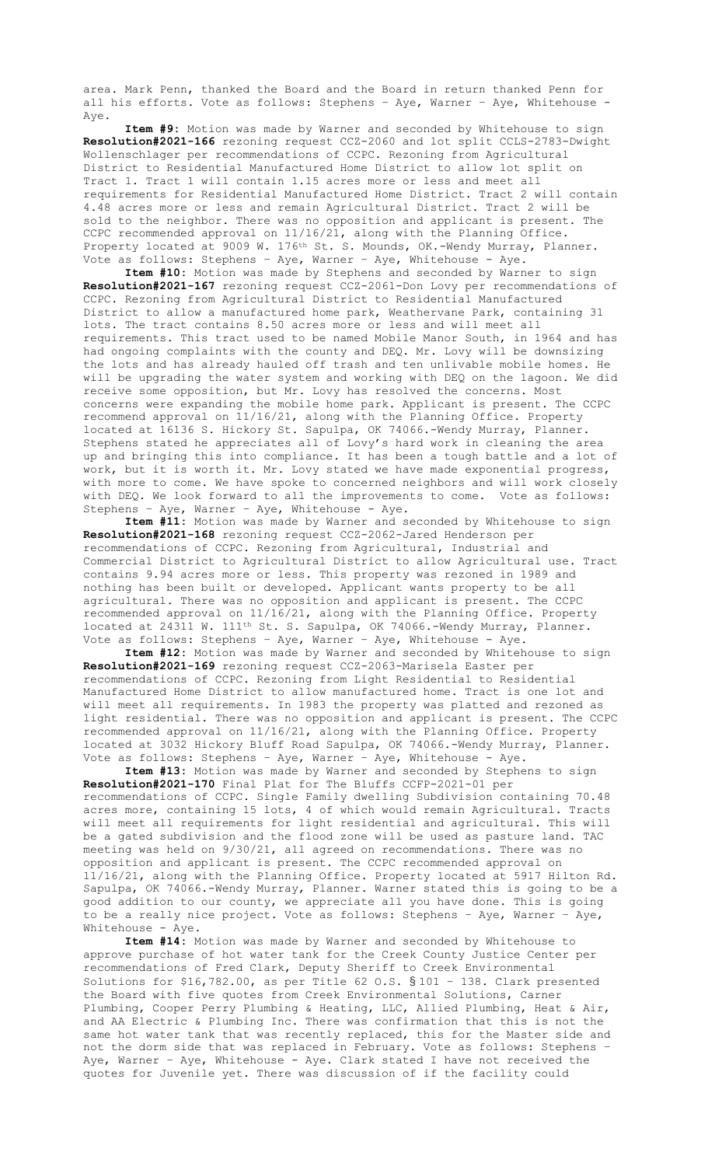area. Mark Penn, thanked the Board and the Board in return thanked Penn for all his efforts. Vote as follows: Stephens – Aye, Warner – Aye, Whitehouse - Aye.

**Item #9:** Motion was made by Warner and seconded by Whitehouse to sign **Resolution#2021-166** rezoning request CCZ-2060 and lot split CCLS-2783-Dwight Wollenschlager per recommendations of CCPC. Rezoning from Agricultural District to Residential Manufactured Home District to allow lot split on Tract 1. Tract 1 will contain 1.15 acres more or less and meet all requirements for Residential Manufactured Home District. Tract 2 will contain 4.48 acres more or less and remain Agricultural District. Tract 2 will be sold to the neighbor. There was no opposition and applicant is present. The CCPC recommended approval on 11/16/21, along with the Planning Office. Property located at 9009 W. 176<sup>th</sup> St. S. Mounds, OK.-Wendy Murray, Planner. Vote as follows: Stephens – Aye, Warner – Aye, Whitehouse - Aye.

**Item #10:** Motion was made by Stephens and seconded by Warner to sign **Resolution#2021-167** rezoning request CCZ-2061-Don Lovy per recommendations of CCPC. Rezoning from Agricultural District to Residential Manufactured District to allow a manufactured home park, Weathervane Park, containing 31 lots. The tract contains 8.50 acres more or less and will meet all requirements. This tract used to be named Mobile Manor South, in 1964 and has had ongoing complaints with the county and DEQ. Mr. Lovy will be downsizing the lots and has already hauled off trash and ten unlivable mobile homes. He will be upgrading the water system and working with DEQ on the lagoon. We did receive some opposition, but Mr. Lovy has resolved the concerns. Most concerns were expanding the mobile home park. Applicant is present. The CCPC recommend approval on 11/16/21, along with the Planning Office. Property located at 16136 S. Hickory St. Sapulpa, OK 74066.-Wendy Murray, Planner. Stephens stated he appreciates all of Lovy's hard work in cleaning the area up and bringing this into compliance. It has been a tough battle and a lot of work, but it is worth it. Mr. Lovy stated we have made exponential progress, with more to come. We have spoke to concerned neighbors and will work closely with DEQ. We look forward to all the improvements to come. Vote as follows: Stephens – Aye, Warner – Aye, Whitehouse - Aye.

**Item #11:** Motion was made by Warner and seconded by Whitehouse to sign **Resolution#2021-168** rezoning request CCZ-2062-Jared Henderson per recommendations of CCPC. Rezoning from Agricultural, Industrial and Commercial District to Agricultural District to allow Agricultural use. Tract contains 9.94 acres more or less. This property was rezoned in 1989 and nothing has been built or developed. Applicant wants property to be all agricultural. There was no opposition and applicant is present. The CCPC recommended approval on 11/16/21, along with the Planning Office. Property located at 24311 W. 111<sup>th</sup> St. S. Sapulpa, OK 74066.-Wendy Murray, Planner. Vote as follows: Stephens – Aye, Warner – Aye, Whitehouse - Aye.

**Item #12:** Motion was made by Warner and seconded by Whitehouse to sign **Resolution#2021-169** rezoning request CCZ-2063-Marisela Easter per recommendations of CCPC. Rezoning from Light Residential to Residential Manufactured Home District to allow manufactured home. Tract is one lot and will meet all requirements. In 1983 the property was platted and rezoned as light residential. There was no opposition and applicant is present. The CCPC recommended approval on 11/16/21, along with the Planning Office. Property located at 3032 Hickory Bluff Road Sapulpa, OK 74066.-Wendy Murray, Planner. Vote as follows: Stephens – Aye, Warner – Aye, Whitehouse - Aye.

**Item #13:** Motion was made by Warner and seconded by Stephens to sign **Resolution#2021-170** Final Plat for The Bluffs CCFP-2021-01 per recommendations of CCPC. Single Family dwelling Subdivision containing 70.48 acres more, containing 15 lots, 4 of which would remain Agricultural. Tracts will meet all requirements for light residential and agricultural. This will be a gated subdivision and the flood zone will be used as pasture land. TAC meeting was held on 9/30/21, all agreed on recommendations. There was no opposition and applicant is present. The CCPC recommended approval on 11/16/21, along with the Planning Office. Property located at 5917 Hilton Rd. Sapulpa, OK 74066.-Wendy Murray, Planner. Warner stated this is going to be a good addition to our county, we appreciate all you have done. This is going to be a really nice project. Vote as follows: Stephens - Aye, Warner - Aye, Whitehouse - Aye.

**Item #14:** Motion was made by Warner and seconded by Whitehouse to approve purchase of hot water tank for the Creek County Justice Center per recommendations of Fred Clark, Deputy Sheriff to Creek Environmental Solutions for \$16,782.00, as per Title 62 O.S. § 101 – 138. Clark presented the Board with five quotes from Creek Environmental Solutions, Carner Plumbing, Cooper Perry Plumbing & Heating, LLC, Allied Plumbing, Heat & Air, and AA Electric & Plumbing Inc. There was confirmation that this is not the same hot water tank that was recently replaced, this for the Master side and not the dorm side that was replaced in February. Vote as follows: Stephens – Aye, Warner – Aye, Whitehouse - Aye. Clark stated I have not received the quotes for Juvenile yet. There was discussion of if the facility could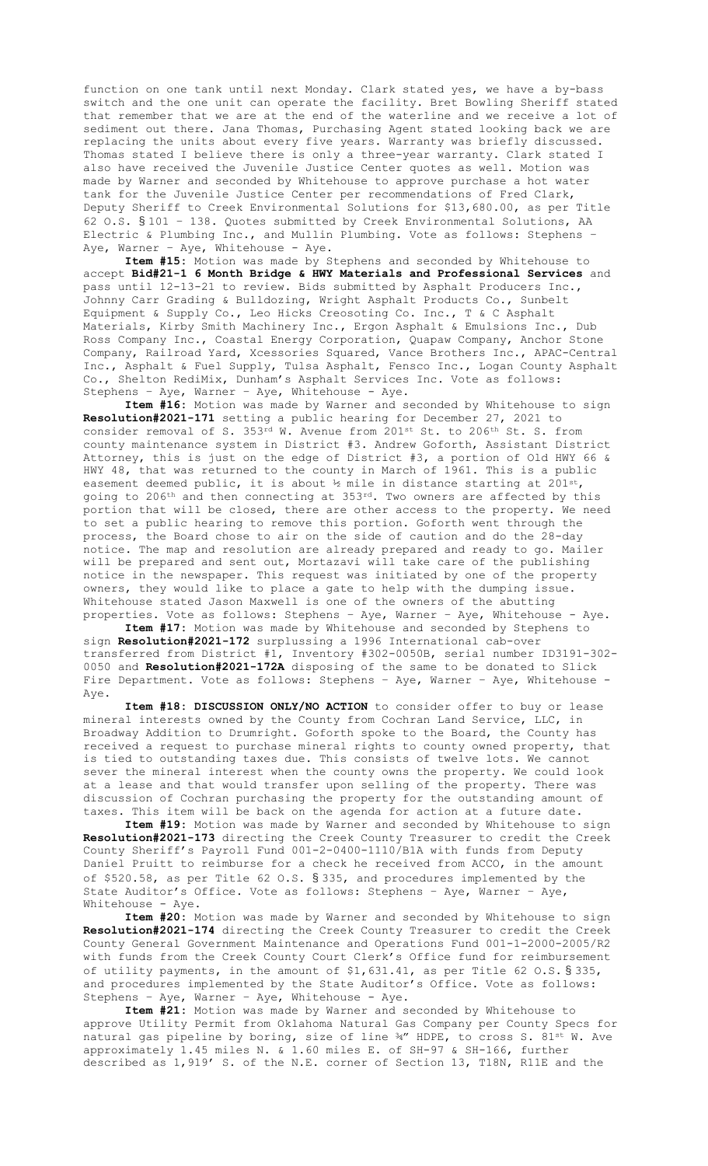function on one tank until next Monday. Clark stated yes, we have a by-bass switch and the one unit can operate the facility. Bret Bowling Sheriff stated that remember that we are at the end of the waterline and we receive a lot of sediment out there. Jana Thomas, Purchasing Agent stated looking back we are replacing the units about every five years. Warranty was briefly discussed. Thomas stated I believe there is only a three-year warranty. Clark stated I also have received the Juvenile Justice Center quotes as well. Motion was made by Warner and seconded by Whitehouse to approve purchase a hot water tank for the Juvenile Justice Center per recommendations of Fred Clark, Deputy Sheriff to Creek Environmental Solutions for \$13,680.00, as per Title 62 O.S. § 101 – 138. Quotes submitted by Creek Environmental Solutions, AA Electric & Plumbing Inc., and Mullin Plumbing. Vote as follows: Stephens – Aye, Warner - Aye, Whitehouse - Aye.

**Item #15:** Motion was made by Stephens and seconded by Whitehouse to accept **Bid#21-1 6 Month Bridge & HWY Materials and Professional Services** and pass until 12-13-21 to review. Bids submitted by Asphalt Producers Inc., Johnny Carr Grading & Bulldozing, Wright Asphalt Products Co., Sunbelt Equipment & Supply Co., Leo Hicks Creosoting Co. Inc., T & C Asphalt Materials, Kirby Smith Machinery Inc., Ergon Asphalt & Emulsions Inc., Dub Ross Company Inc., Coastal Energy Corporation, Quapaw Company, Anchor Stone Company, Railroad Yard, Xcessories Squared, Vance Brothers Inc., APAC-Central Inc., Asphalt & Fuel Supply, Tulsa Asphalt, Fensco Inc., Logan County Asphalt Co., Shelton RediMix, Dunham's Asphalt Services Inc. Vote as follows: Stephens – Aye, Warner – Aye, Whitehouse - Aye.

**Item #16:** Motion was made by Warner and seconded by Whitehouse to sign **Resolution#2021-171** setting a public hearing for December 27, 2021 to consider removal of S. 353rd W. Avenue from 201st St. to 206th St. S. from county maintenance system in District #3. Andrew Goforth, Assistant District Attorney, this is just on the edge of District #3, a portion of Old HWY 66 & HWY 48, that was returned to the county in March of 1961. This is a public easement deemed public, it is about ½ mile in distance starting at 201st, going to 206th and then connecting at 353rd. Two owners are affected by this portion that will be closed, there are other access to the property. We need to set a public hearing to remove this portion. Goforth went through the process, the Board chose to air on the side of caution and do the 28-day notice. The map and resolution are already prepared and ready to go. Mailer will be prepared and sent out, Mortazavi will take care of the publishing notice in the newspaper. This request was initiated by one of the property owners, they would like to place a gate to help with the dumping issue. Whitehouse stated Jason Maxwell is one of the owners of the abutting properties. Vote as follows: Stephens – Aye, Warner – Aye, Whitehouse - Aye.

**Item #17:** Motion was made by Whitehouse and seconded by Stephens to sign **Resolution#2021-172** surplussing a 1996 International cab-over transferred from District #1, Inventory #302-0050B, serial number ID3191-302- 0050 and **Resolution#2021-172A** disposing of the same to be donated to Slick Fire Department. Vote as follows: Stephens - Aye, Warner - Aye, Whitehouse -Aye.

**Item #18: DISCUSSION ONLY/NO ACTION** to consider offer to buy or lease mineral interests owned by the County from Cochran Land Service, LLC, in Broadway Addition to Drumright. Goforth spoke to the Board, the County has received a request to purchase mineral rights to county owned property, that is tied to outstanding taxes due. This consists of twelve lots. We cannot sever the mineral interest when the county owns the property. We could look at a lease and that would transfer upon selling of the property. There was discussion of Cochran purchasing the property for the outstanding amount of taxes. This item will be back on the agenda for action at a future date.

**Item #19:** Motion was made by Warner and seconded by Whitehouse to sign **Resolution#2021-173** directing the Creek County Treasurer to credit the Creek County Sheriff's Payroll Fund 001-2-0400-1110/B1A with funds from Deputy Daniel Pruitt to reimburse for a check he received from ACCO, in the amount of \$520.58, as per Title 62 O.S. § 335, and procedures implemented by the State Auditor's Office. Vote as follows: Stephens – Aye, Warner – Aye, Whitehouse - Aye.

**Item #20:** Motion was made by Warner and seconded by Whitehouse to sign **Resolution#2021-174** directing the Creek County Treasurer to credit the Creek County General Government Maintenance and Operations Fund 001-1-2000-2005/R2 with funds from the Creek County Court Clerk's Office fund for reimbursement of utility payments, in the amount of \$1,631.41, as per Title 62 O.S. § 335, and procedures implemented by the State Auditor's Office. Vote as follows: Stephens – Aye, Warner – Aye, Whitehouse - Aye.

**Item #21:** Motion was made by Warner and seconded by Whitehouse to approve Utility Permit from Oklahoma Natural Gas Company per County Specs for natural gas pipeline by boring, size of line 34" HDPE, to cross S. 81st W. Ave approximately 1.45 miles N. & 1.60 miles E. of SH-97 & SH-166, further described as 1,919' S. of the N.E. corner of Section 13, T18N, R11E and the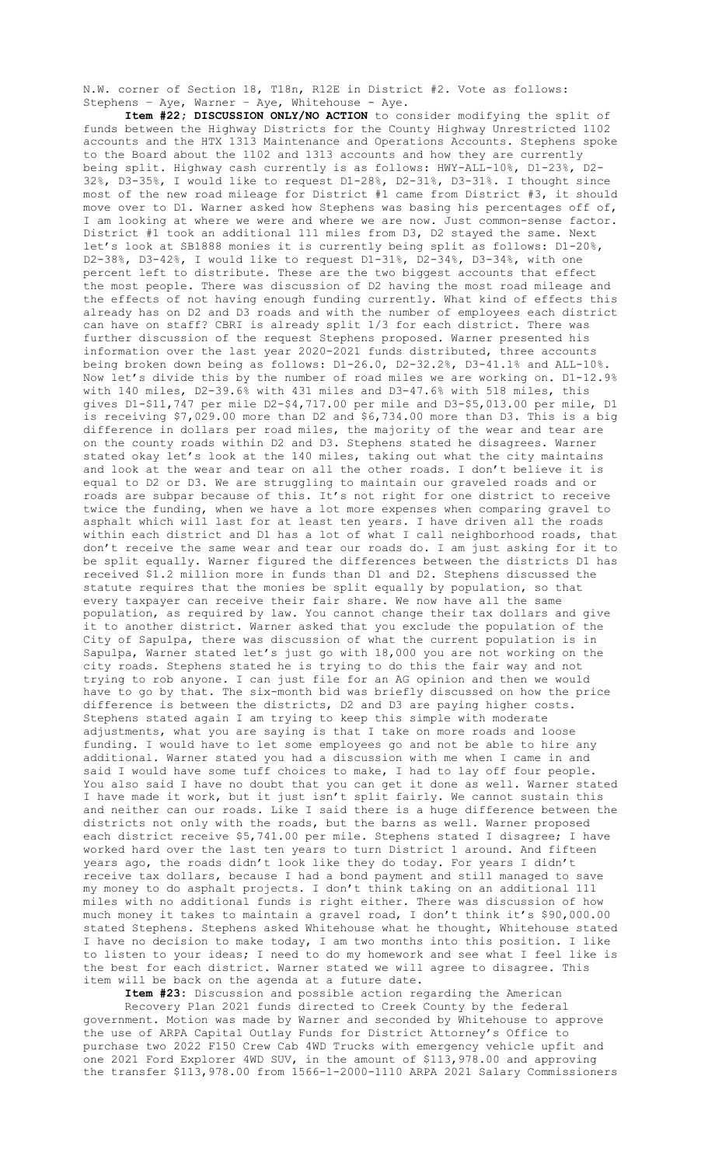N.W. corner of Section 18, T18n, R12E in District #2. Vote as follows: Stephens - Aye, Warner - Aye, Whitehouse - Aye.

**Item #22; DISCUSSION ONLY/NO ACTION** to consider modifying the split of funds between the Highway Districts for the County Highway Unrestricted 1102 accounts and the HTX 1313 Maintenance and Operations Accounts. Stephens spoke to the Board about the 1102 and 1313 accounts and how they are currently being split. Highway cash currently is as follows: HWY-ALL-10%, D1-23%, D2- 32%, D3-35%, I would like to request D1-28%, D2-31%, D3-31%. I thought since most of the new road mileage for District #1 came from District #3, it should move over to D1. Warner asked how Stephens was basing his percentages off of, I am looking at where we were and where we are now. Just common-sense factor. District #1 took an additional 111 miles from D3, D2 stayed the same. Next let's look at SB1888 monies it is currently being split as follows: D1-20%, D2-38%, D3-42%, I would like to request D1-31%, D2-34%, D3-34%, with one percent left to distribute. These are the two biggest accounts that effect the most people. There was discussion of D2 having the most road mileage and the effects of not having enough funding currently. What kind of effects this already has on D2 and D3 roads and with the number of employees each district can have on staff? CBRI is already split 1/3 for each district. There was further discussion of the request Stephens proposed. Warner presented his information over the last year 2020-2021 funds distributed, three accounts being broken down being as follows: D1-26.0, D2-32.2%, D3-41.1% and ALL-10%. Now let's divide this by the number of road miles we are working on. D1-12.9% with 140 miles, D2-39.6% with 431 miles and D3-47.6% with 518 miles, this gives D1-\$11,747 per mile D2-\$4,717.00 per mile and D3-\$5,013.00 per mile, D1 is receiving \$7,029.00 more than D2 and \$6,734.00 more than D3. This is a big difference in dollars per road miles, the majority of the wear and tear are on the county roads within D2 and D3. Stephens stated he disagrees. Warner stated okay let's look at the 140 miles, taking out what the city maintains and look at the wear and tear on all the other roads. I don't believe it is equal to D2 or D3. We are struggling to maintain our graveled roads and or roads are subpar because of this. It's not right for one district to receive twice the funding, when we have a lot more expenses when comparing gravel to asphalt which will last for at least ten years. I have driven all the roads within each district and D1 has a lot of what I call neighborhood roads, that don't receive the same wear and tear our roads do. I am just asking for it to be split equally. Warner figured the differences between the districts D1 has received \$1.2 million more in funds than D1 and D2. Stephens discussed the statute requires that the monies be split equally by population, so that every taxpayer can receive their fair share. We now have all the same population, as required by law. You cannot change their tax dollars and give it to another district. Warner asked that you exclude the population of the City of Sapulpa, there was discussion of what the current population is in Sapulpa, Warner stated let's just go with 18,000 you are not working on the city roads. Stephens stated he is trying to do this the fair way and not trying to rob anyone. I can just file for an AG opinion and then we would have to go by that. The six-month bid was briefly discussed on how the price difference is between the districts, D2 and D3 are paying higher costs. Stephens stated again I am trying to keep this simple with moderate adjustments, what you are saying is that I take on more roads and loose funding. I would have to let some employees go and not be able to hire any additional. Warner stated you had a discussion with me when I came in and said I would have some tuff choices to make, I had to lay off four people. You also said I have no doubt that you can get it done as well. Warner stated I have made it work, but it just isn't split fairly. We cannot sustain this and neither can our roads. Like I said there is a huge difference between the districts not only with the roads, but the barns as well. Warner proposed each district receive \$5,741.00 per mile. Stephens stated I disagree; I have worked hard over the last ten years to turn District 1 around. And fifteen years ago, the roads didn't look like they do today. For years I didn't receive tax dollars, because I had a bond payment and still managed to save my money to do asphalt projects. I don't think taking on an additional 111 miles with no additional funds is right either. There was discussion of how much money it takes to maintain a gravel road, I don't think it's \$90,000.00 stated Stephens. Stephens asked Whitehouse what he thought, Whitehouse stated I have no decision to make today, I am two months into this position. I like to listen to your ideas; I need to do my homework and see what I feel like is the best for each district. Warner stated we will agree to disagree. This item will be back on the agenda at a future date.

**Item #23:** Discussion and possible action regarding the American

Recovery Plan 2021 funds directed to Creek County by the federal government. Motion was made by Warner and seconded by Whitehouse to approve the use of ARPA Capital Outlay Funds for District Attorney's Office to purchase two 2022 F150 Crew Cab 4WD Trucks with emergency vehicle upfit and one 2021 Ford Explorer 4WD SUV, in the amount of \$113,978.00 and approving the transfer \$113,978.00 from 1566-1-2000-1110 ARPA 2021 Salary Commissioners